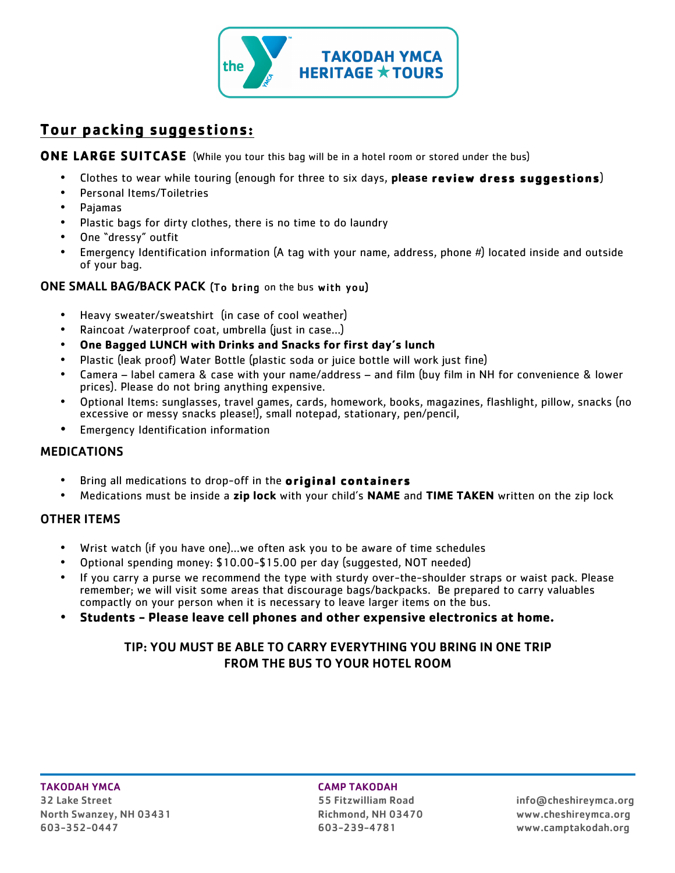

# Tour packing suggestions:

## **ONE LARGE SUITCASE** (While you tour this bag will be in a hotel room or stored under the bus)

- Clothes to wear while touring (enough for three to six days, **please review dress suggestions**)
- Personal Items/Toiletries
- Pajamas
- Plastic bags for dirty clothes, there is no time to do laundry
- One "dressy" outfit
- Emergency Identification information (A tag with your name, address, phone  $#$ ) located inside and outside of your bag.

## ONE SMALL BAG/BACK PACK (To bring on the bus with you)

- Heavy sweater/sweatshirt (in case of cool weather)
- Raincoat /waterproof coat, umbrella (just in case…)
- **One Bagged LUNCH with Drinks and Snacks for first day's lunch**
- Plastic (leak proof) Water Bottle (plastic soda or juice bottle will work just fine)
- Camera label camera & case with your name/address and film (buy film in NH for convenience & lower prices). Please do not bring anything expensive.
- Optional Items: sunglasses, travel games, cards, homework, books, magazines, flashlight, pillow, snacks (no excessive or messy snacks please!), small notepad, stationary, pen/pencil,
- Emergency Identification information

## MEDICATIONS

- Bring all medications to drop-off in the **original containers**
- Medications must be inside a **zip lock** with your child's **NAME** and **TIME TAKEN** written on the zip lock

## OTHER ITEMS

- Wrist watch (if you have one)…we often ask you to be aware of time schedules
- Optional spending money: \$10.00-\$15.00 per day (suggested, NOT needed)
- If you carry a purse we recommend the type with sturdy over-the-shoulder straps or waist pack. Please remember; we will visit some areas that discourage bags/backpacks. Be prepared to carry valuables compactly on your person when it is necessary to leave larger items on the bus.
- **Students - Please leave cell phones and other expensive electronics at home.**

## TIP: YOU MUST BE ABLE TO CARRY EVERYTHING YOU BRING IN ONE TRIP FROM THE BUS TO YOUR HOTEL ROOM

## TAKODAH YMCA CAMP TAKODAH